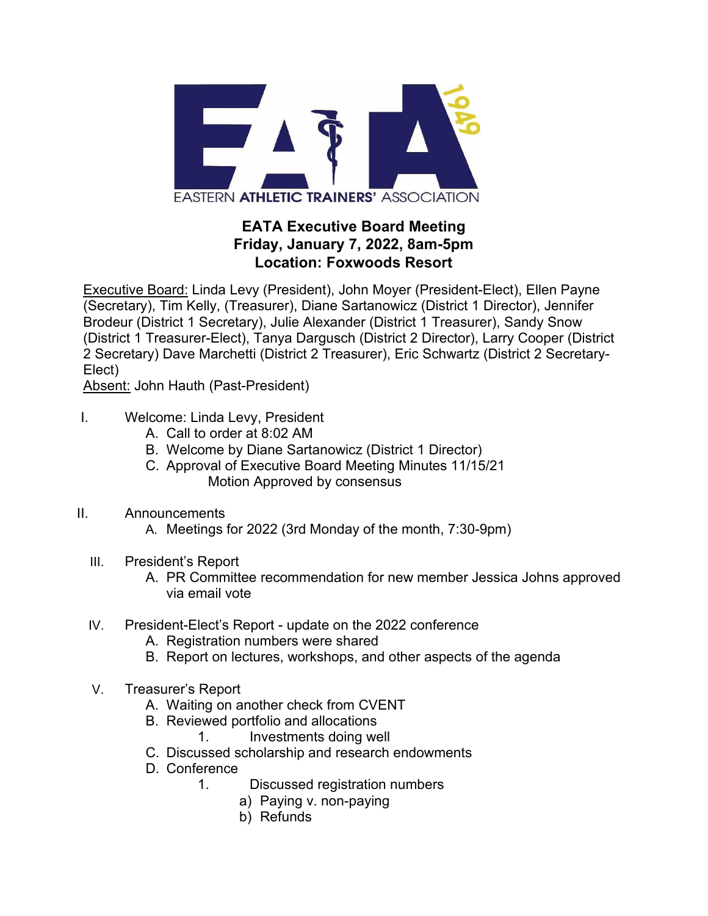

## **EATA Executive Board Meeting Friday, January 7, 2022, 8am-5pm Location: Foxwoods Resort**

Executive Board: Linda Levy (President), John Moyer (President-Elect), Ellen Payne (Secretary), Tim Kelly, (Treasurer), Diane Sartanowicz (District 1 Director), Jennifer Brodeur (District 1 Secretary), Julie Alexander (District 1 Treasurer), Sandy Snow (District 1 Treasurer-Elect), Tanya Dargusch (District 2 Director), Larry Cooper (District 2 Secretary) Dave Marchetti (District 2 Treasurer), Eric Schwartz (District 2 Secretary-Elect)

Absent: John Hauth (Past-President)

- I. Welcome: Linda Levy, President
	- A. Call to order at 8:02 AM
	- B. Welcome by Diane Sartanowicz (District 1 Director)
	- C. Approval of Executive Board Meeting Minutes 11/15/21 Motion Approved by consensus
- II. Announcements
	- A. Meetings for 2022 (3rd Monday of the month, 7:30-9pm)
	- III. President's Report
		- A. PR Committee recommendation for new member Jessica Johns approved via email vote
	- IV. President-Elect's Report update on the 2022 conference
		- A. Registration numbers were shared
		- B. Report on lectures, workshops, and other aspects of the agenda
	- V. Treasurer's Report
		- A. Waiting on another check from CVENT
		- B. Reviewed portfolio and allocations
			- 1. Investments doing well
		- C. Discussed scholarship and research endowments
		- D. Conference
			- 1. Discussed registration numbers
				- a) Paying v. non-paying
				- b) Refunds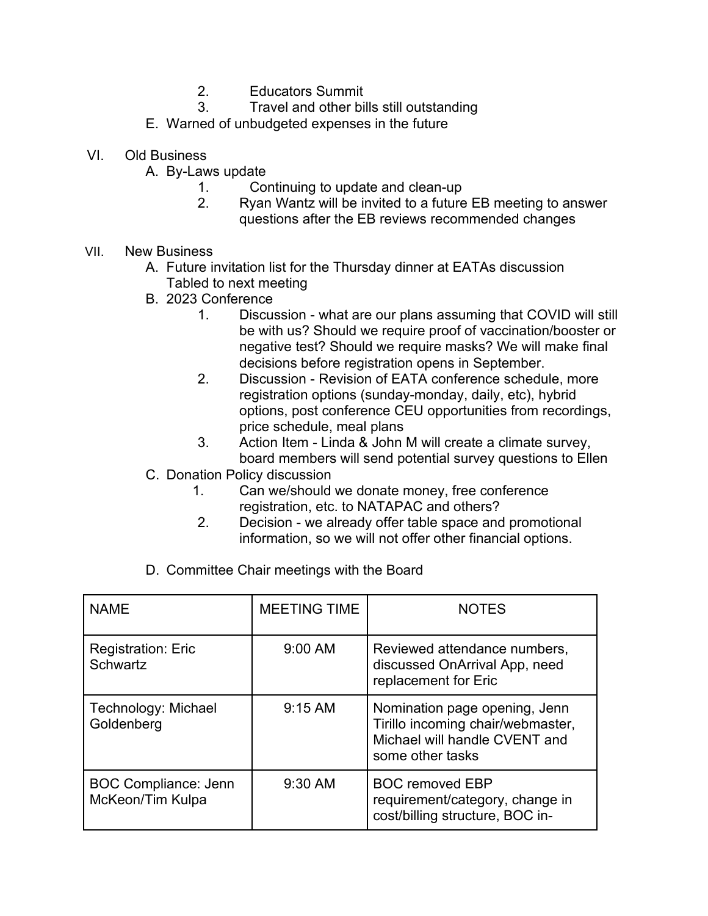- 2. Educators Summit
- 3. Travel and other bills still outstanding
- E. Warned of unbudgeted expenses in the future
- VI. Old Business
	- A. By-Laws update
		- 1. Continuing to update and clean-up
		- 2. Ryan Wantz will be invited to a future EB meeting to answer questions after the EB reviews recommended changes
- VII. New Business
	- A. Future invitation list for the Thursday dinner at EATAs discussion Tabled to next meeting
	- B. 2023 Conference
		- 1. Discussion what are our plans assuming that COVID will still be with us? Should we require proof of vaccination/booster or negative test? Should we require masks? We will make final decisions before registration opens in September.
		- 2. Discussion Revision of EATA conference schedule, more registration options (sunday-monday, daily, etc), hybrid options, post conference CEU opportunities from recordings, price schedule, meal plans
		- 3. Action Item Linda & John M will create a climate survey, board members will send potential survey questions to Ellen
	- C. Donation Policy discussion
		- 1. Can we/should we donate money, free conference registration, etc. to NATAPAC and others?
		- 2. Decision we already offer table space and promotional information, so we will not offer other financial options.
	- D. Committee Chair meetings with the Board

| <b>NAME</b>                                     | <b>MEETING TIME</b> | <b>NOTES</b>                                                                                                            |
|-------------------------------------------------|---------------------|-------------------------------------------------------------------------------------------------------------------------|
| <b>Registration: Eric</b><br><b>Schwartz</b>    | $9:00$ AM           | Reviewed attendance numbers,<br>discussed OnArrival App, need<br>replacement for Eric                                   |
| Technology: Michael<br>Goldenberg               | $9:15$ AM           | Nomination page opening, Jenn<br>Tirillo incoming chair/webmaster,<br>Michael will handle CVENT and<br>some other tasks |
| <b>BOC Compliance: Jenn</b><br>McKeon/Tim Kulpa | 9:30 AM             | <b>BOC removed EBP</b><br>requirement/category, change in<br>cost/billing structure, BOC in-                            |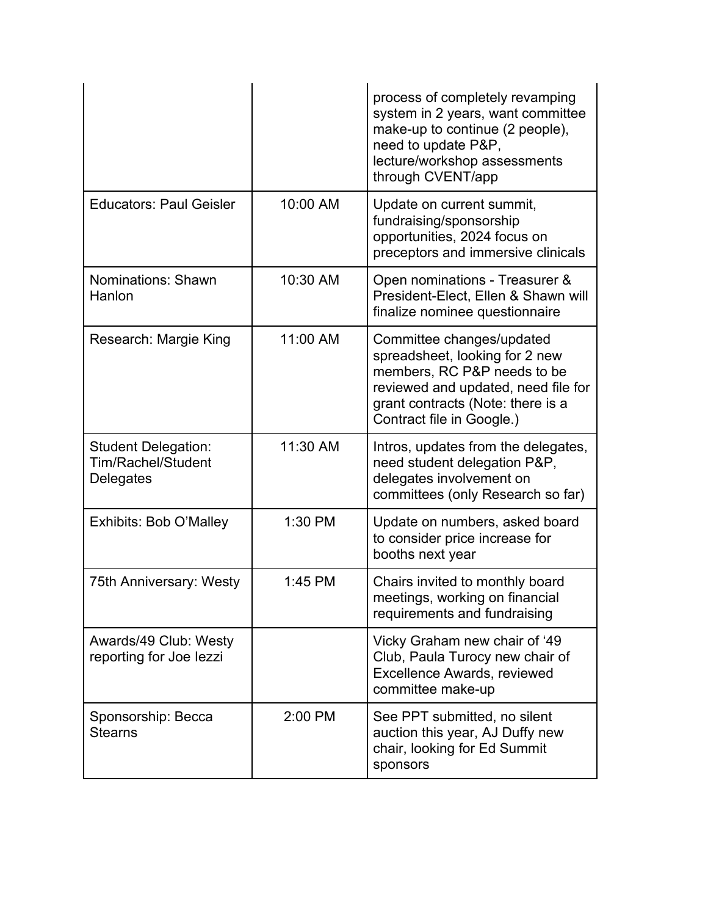|                                                               |          | process of completely revamping<br>system in 2 years, want committee<br>make-up to continue (2 people),<br>need to update P&P,<br>lecture/workshop assessments<br>through CVENT/app                 |
|---------------------------------------------------------------|----------|-----------------------------------------------------------------------------------------------------------------------------------------------------------------------------------------------------|
| <b>Educators: Paul Geisler</b>                                | 10:00 AM | Update on current summit,<br>fundraising/sponsorship<br>opportunities, 2024 focus on<br>preceptors and immersive clinicals                                                                          |
| Nominations: Shawn<br>Hanlon                                  | 10:30 AM | Open nominations - Treasurer &<br>President-Elect, Ellen & Shawn will<br>finalize nominee questionnaire                                                                                             |
| Research: Margie King                                         | 11:00 AM | Committee changes/updated<br>spreadsheet, looking for 2 new<br>members, RC P&P needs to be<br>reviewed and updated, need file for<br>grant contracts (Note: there is a<br>Contract file in Google.) |
| <b>Student Delegation:</b><br>Tim/Rachel/Student<br>Delegates | 11:30 AM | Intros, updates from the delegates,<br>need student delegation P&P,<br>delegates involvement on<br>committees (only Research so far)                                                                |
| Exhibits: Bob O'Malley                                        | 1:30 PM  | Update on numbers, asked board<br>to consider price increase for<br>booths next year                                                                                                                |
| 75th Anniversary: Westy                                       | 1:45 PM  | Chairs invited to monthly board<br>meetings, working on financial<br>requirements and fundraising                                                                                                   |
| Awards/49 Club: Westy<br>reporting for Joe lezzi              |          | Vicky Graham new chair of '49<br>Club, Paula Turocy new chair of<br>Excellence Awards, reviewed<br>committee make-up                                                                                |
| Sponsorship: Becca<br><b>Stearns</b>                          | 2:00 PM  | See PPT submitted, no silent<br>auction this year, AJ Duffy new<br>chair, looking for Ed Summit<br>sponsors                                                                                         |